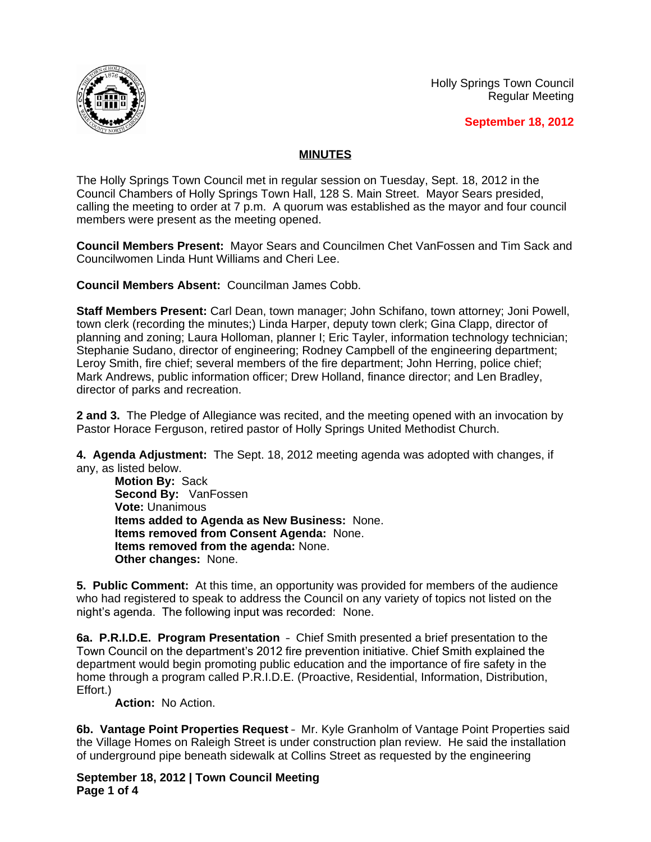Holly Springs Town Council Regular Meeting



**September 18, 2012**

## **MINUTES**

The Holly Springs Town Council met in regular session on Tuesday, Sept. 18, 2012 in the Council Chambers of Holly Springs Town Hall, 128 S. Main Street. Mayor Sears presided, calling the meeting to order at 7 p.m. A quorum was established as the mayor and four council members were present as the meeting opened.

**Council Members Present:** Mayor Sears and Councilmen Chet VanFossen and Tim Sack and Councilwomen Linda Hunt Williams and Cheri Lee.

**Council Members Absent:** Councilman James Cobb.

**Staff Members Present:** Carl Dean, town manager; John Schifano, town attorney; Joni Powell, town clerk (recording the minutes;) Linda Harper, deputy town clerk; Gina Clapp, director of planning and zoning; Laura Holloman, planner I; Eric Tayler, information technology technician; Stephanie Sudano, director of engineering; Rodney Campbell of the engineering department; Leroy Smith, fire chief; several members of the fire department; John Herring, police chief; Mark Andrews, public information officer; Drew Holland, finance director; and Len Bradley, director of parks and recreation.

**2 and 3.** The Pledge of Allegiance was recited, and the meeting opened with an invocation by Pastor Horace Ferguson, retired pastor of Holly Springs United Methodist Church.

**4. Agenda Adjustment:** The Sept. 18, 2012 meeting agenda was adopted with changes, if any, as listed below.

**Motion By:** Sack **Second By:** VanFossen **Vote:** Unanimous **Items added to Agenda as New Business:** None. **Items removed from Consent Agenda:** None. **Items removed from the agenda:** None. **Other changes:** None.

**5. Public Comment:** At this time, an opportunity was provided for members of the audience who had registered to speak to address the Council on any variety of topics not listed on the night's agenda. The following input was recorded: None.

**6a. P.R.I.D.E. Program Presentation** – Chief Smith presented a brief presentation to the Town Council on the department's 2012 fire prevention initiative. Chief Smith explained the department would begin promoting public education and the importance of fire safety in the home through a program called P.R.I.D.E. (Proactive, Residential, Information, Distribution, Effort.)

**Action:** No Action.

**6b. Vantage Point Properties Request** – Mr. Kyle Granholm of Vantage Point Properties said the Village Homes on Raleigh Street is under construction plan review. He said the installation of underground pipe beneath sidewalk at Collins Street as requested by the engineering

**September 18, 2012 | Town Council Meeting Page 1 of 4**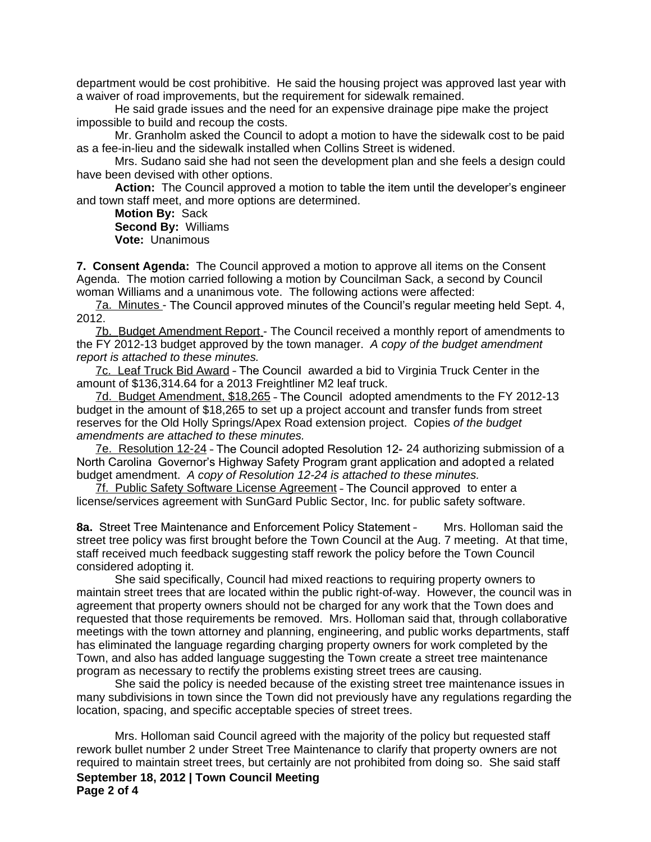department would be cost prohibitive. He said the housing project was approved last year with a waiver of road improvements, but the requirement for sidewalk remained.

He said grade issues and the need for an expensive drainage pipe make the project impossible to build and recoup the costs.

Mr. Granholm asked the Council to adopt a motion to have the sidewalk cost to be paid as a fee-in-lieu and the sidewalk installed when Collins Street is widened.

Mrs. Sudano said she had not seen the development plan and she feels a design could have been devised with other options.

**Action:** The Council approved a motion to table the item until the developer's engineer and town staff meet, and more options are determined.

**Motion By:** Sack **Second By:** Williams **Vote:** Unanimous

**7. Consent Agenda:** The Council approved a motion to approve all items on the Consent Agenda. The motion carried following a motion by Councilman Sack, a second by Council woman Williams and a unanimous vote. The following actions were affected:

7a. Minutes - The Council approved minutes of the Council's regular meeting held Sept. 4, 2012.

7b. Budget Amendment Report - The Council received a monthly report of amendments to the FY 2012-13 budget approved by the town manager. *A copy of the budget amendment report is attached to these minutes.*

7c. Leaf Truck Bid Award – The Council awarded a bid to Virginia Truck Center in the amount of \$136,314.64 for a 2013 Freightliner M2 leaf truck.

7d. Budget Amendment, \$18,265 – The Council adopted amendments to the FY 2012-13 budget in the amount of \$18,265 to set up a project account and transfer funds from street reserves for the Old Holly Springs/Apex Road extension project. Copies *of the budget amendments are attached to these minutes.*

7e. Resolution 12-24 – The Council adopted Resolution 12- 24 authorizing submission of a North Carolina Governor's Highway Safety Program grant application and adopted a related budget amendment. *A copy of Resolution 12-24 is attached to these minutes.*

7f. Public Safety Software License Agreement - The Council approved to enter a license/services agreement with SunGard Public Sector, Inc. for public safety software.

**8a.** Street Tree Maintenance and Enforcement Policy Statement – Mrs. Holloman said the street tree policy was first brought before the Town Council at the Aug. 7 meeting. At that time, staff received much feedback suggesting staff rework the policy before the Town Council considered adopting it.

She said specifically, Council had mixed reactions to requiring property owners to maintain street trees that are located within the public right-of-way. However, the council was in agreement that property owners should not be charged for any work that the Town does and requested that those requirements be removed. Mrs. Holloman said that, through collaborative meetings with the town attorney and planning, engineering, and public works departments, staff has eliminated the language regarding charging property owners for work completed by the Town, and also has added language suggesting the Town create a street tree maintenance program as necessary to rectify the problems existing street trees are causing.

She said the policy is needed because of the existing street tree maintenance issues in many subdivisions in town since the Town did not previously have any regulations regarding the location, spacing, and specific acceptable species of street trees.

**September 18, 2012 | Town Council Meeting Page 2 of 4** Mrs. Holloman said Council agreed with the majority of the policy but requested staff rework bullet number 2 under Street Tree Maintenance to clarify that property owners are not required to maintain street trees, but certainly are not prohibited from doing so. She said staff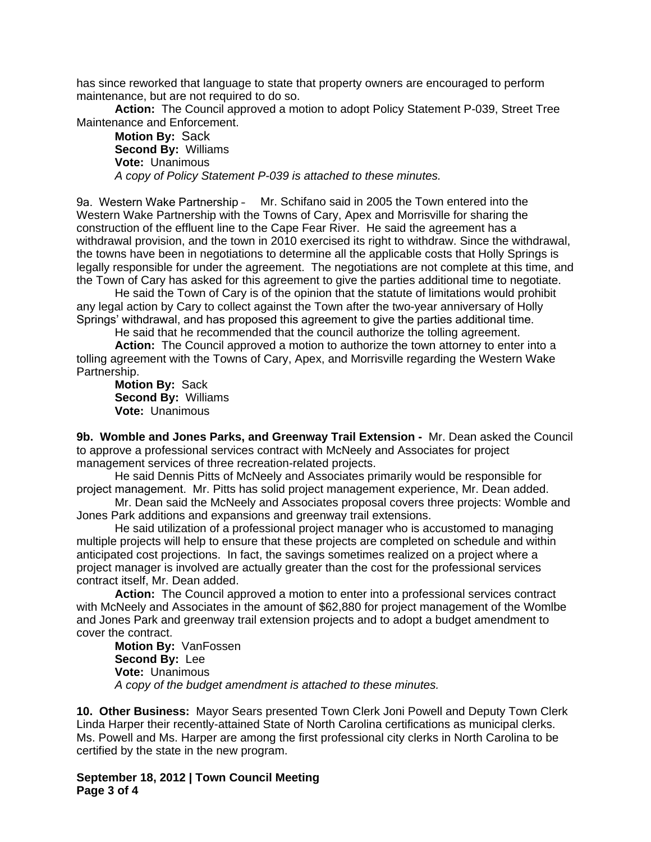has since reworked that language to state that property owners are encouraged to perform maintenance, but are not required to do so.

**Action:** The Council approved a motion to adopt Policy Statement P-039, Street Tree Maintenance and Enforcement.

**Motion By:** Sack **Second By:** Williams **Vote:** Unanimous *A copy of Policy Statement P-039 is attached to these minutes.*

9a. Western Wake Partnership – Mr. Schifano said in 2005 the Town entered into the Western Wake Partnership with the Towns of Cary, Apex and Morrisville for sharing the construction of the effluent line to the Cape Fear River. He said the agreement has a withdrawal provision, and the town in 2010 exercised its right to withdraw. Since the withdrawal, the towns have been in negotiations to determine all the applicable costs that Holly Springs is legally responsible for under the agreement. The negotiations are not complete at this time, and the Town of Cary has asked for this agreement to give the parties additional time to negotiate.

He said the Town of Cary is of the opinion that the statute of limitations would prohibit any legal action by Cary to collect against the Town after the two-year anniversary of Holly Springs' withdrawal, and has proposed this agreement to give the parties additional time.

He said that he recommended that the council authorize the tolling agreement.

**Action:** The Council approved a motion to authorize the town attorney to enter into a tolling agreement with the Towns of Cary, Apex, and Morrisville regarding the Western Wake Partnership.

**Motion By:** Sack **Second By:** Williams **Vote:** Unanimous

**9b. Womble and Jones Parks, and Greenway Trail Extension -** Mr. Dean asked the Council to approve a professional services contract with McNeely and Associates for project management services of three recreation-related projects.

He said Dennis Pitts of McNeely and Associates primarily would be responsible for project management. Mr. Pitts has solid project management experience, Mr. Dean added.

Mr. Dean said the McNeely and Associates proposal covers three projects: Womble and Jones Park additions and expansions and greenway trail extensions.

He said utilization of a professional project manager who is accustomed to managing multiple projects will help to ensure that these projects are completed on schedule and within anticipated cost projections. In fact, the savings sometimes realized on a project where a project manager is involved are actually greater than the cost for the professional services contract itself, Mr. Dean added.

**Action:** The Council approved a motion to enter into a professional services contract with McNeely and Associates in the amount of \$62,880 for project management of the Womlbe and Jones Park and greenway trail extension projects and to adopt a budget amendment to cover the contract.

**Motion By:** VanFossen **Second By:** Lee **Vote:** Unanimous *A copy of the budget amendment is attached to these minutes.*

**10. Other Business:** Mayor Sears presented Town Clerk Joni Powell and Deputy Town Clerk Linda Harper their recently-attained State of North Carolina certifications as municipal clerks. Ms. Powell and Ms. Harper are among the first professional city clerks in North Carolina to be certified by the state in the new program.

**September 18, 2012 | Town Council Meeting Page 3 of 4**